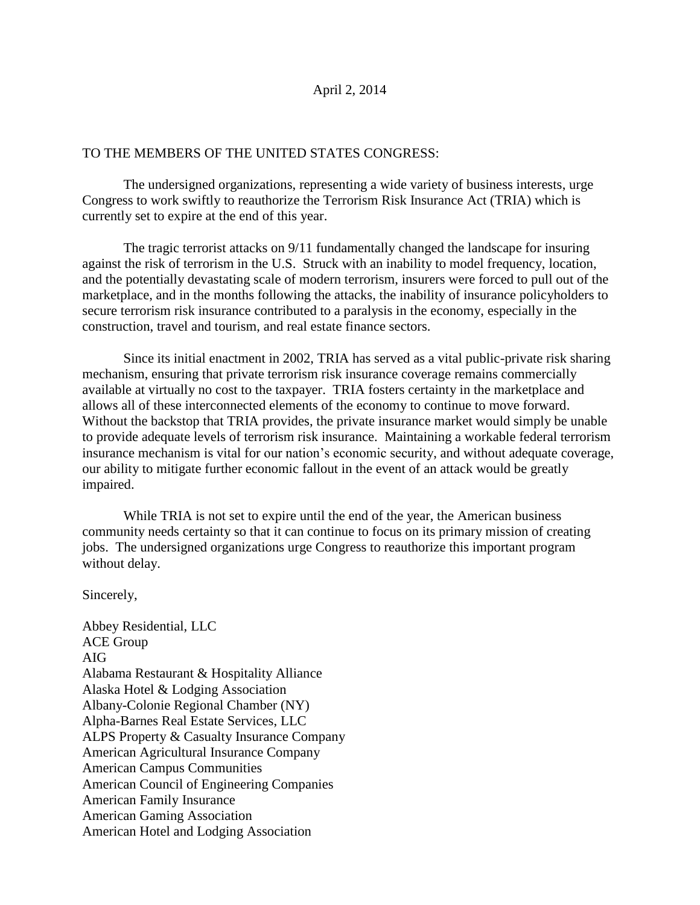## April 2, 2014

## TO THE MEMBERS OF THE UNITED STATES CONGRESS:

The undersigned organizations, representing a wide variety of business interests, urge Congress to work swiftly to reauthorize the Terrorism Risk Insurance Act (TRIA) which is currently set to expire at the end of this year.

The tragic terrorist attacks on 9/11 fundamentally changed the landscape for insuring against the risk of terrorism in the U.S. Struck with an inability to model frequency, location, and the potentially devastating scale of modern terrorism, insurers were forced to pull out of the marketplace, and in the months following the attacks, the inability of insurance policyholders to secure terrorism risk insurance contributed to a paralysis in the economy, especially in the construction, travel and tourism, and real estate finance sectors.

Since its initial enactment in 2002, TRIA has served as a vital public-private risk sharing mechanism, ensuring that private terrorism risk insurance coverage remains commercially available at virtually no cost to the taxpayer. TRIA fosters certainty in the marketplace and allows all of these interconnected elements of the economy to continue to move forward. Without the backstop that TRIA provides, the private insurance market would simply be unable to provide adequate levels of terrorism risk insurance. Maintaining a workable federal terrorism insurance mechanism is vital for our nation's economic security, and without adequate coverage, our ability to mitigate further economic fallout in the event of an attack would be greatly impaired.

While TRIA is not set to expire until the end of the year, the American business community needs certainty so that it can continue to focus on its primary mission of creating jobs. The undersigned organizations urge Congress to reauthorize this important program without delay.

Sincerely,

Abbey Residential, LLC ACE Group AIG Alabama Restaurant & Hospitality Alliance Alaska Hotel & Lodging Association Albany-Colonie Regional Chamber (NY) Alpha-Barnes Real Estate Services, LLC ALPS Property & Casualty Insurance Company American Agricultural Insurance Company American Campus Communities American Council of Engineering Companies American Family Insurance American Gaming Association American Hotel and Lodging Association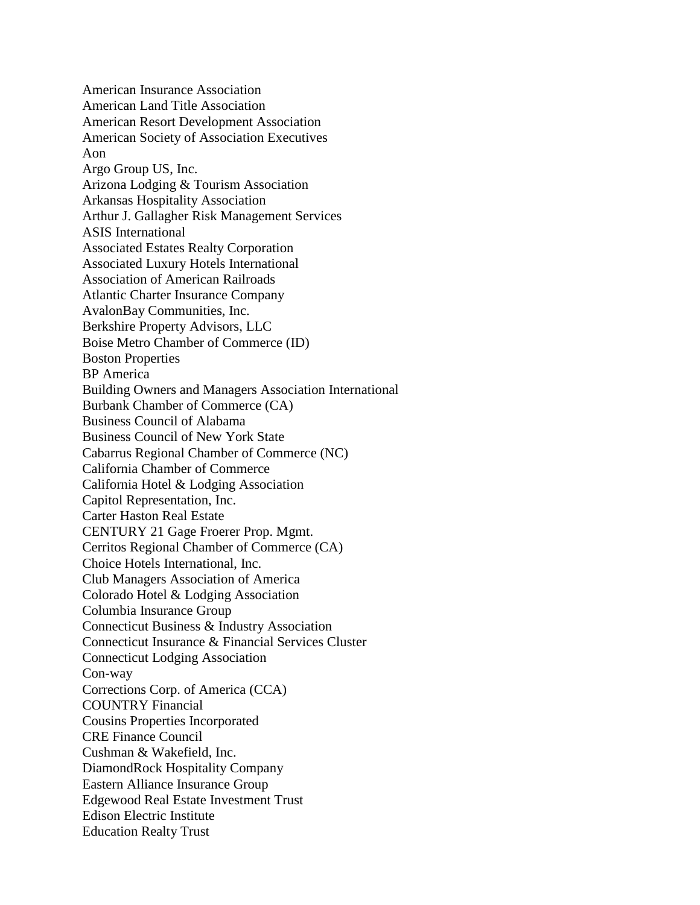American Insurance Association American Land Title Association American Resort Development Association American Society of Association Executives Aon Argo Group US, Inc. Arizona Lodging & Tourism Association Arkansas Hospitality Association Arthur J. Gallagher Risk Management Services ASIS International Associated Estates Realty Corporation Associated Luxury Hotels International Association of American Railroads Atlantic Charter Insurance Company AvalonBay Communities, Inc. Berkshire Property Advisors, LLC Boise Metro Chamber of Commerce (ID) Boston Properties BP America Building Owners and Managers Association International Burbank Chamber of Commerce (CA) Business Council of Alabama Business Council of New York State Cabarrus Regional Chamber of Commerce (NC) California Chamber of Commerce California Hotel & Lodging Association Capitol Representation, Inc. Carter Haston Real Estate CENTURY 21 Gage Froerer Prop. Mgmt. Cerritos Regional Chamber of Commerce (CA) Choice Hotels International, Inc. Club Managers Association of America Colorado Hotel & Lodging Association Columbia Insurance Group Connecticut Business & Industry Association Connecticut Insurance & Financial Services Cluster Connecticut Lodging Association Con-way Corrections Corp. of America (CCA) COUNTRY Financial Cousins Properties Incorporated CRE Finance Council Cushman & Wakefield, Inc. DiamondRock Hospitality Company Eastern Alliance Insurance Group Edgewood Real Estate Investment Trust Edison Electric Institute Education Realty Trust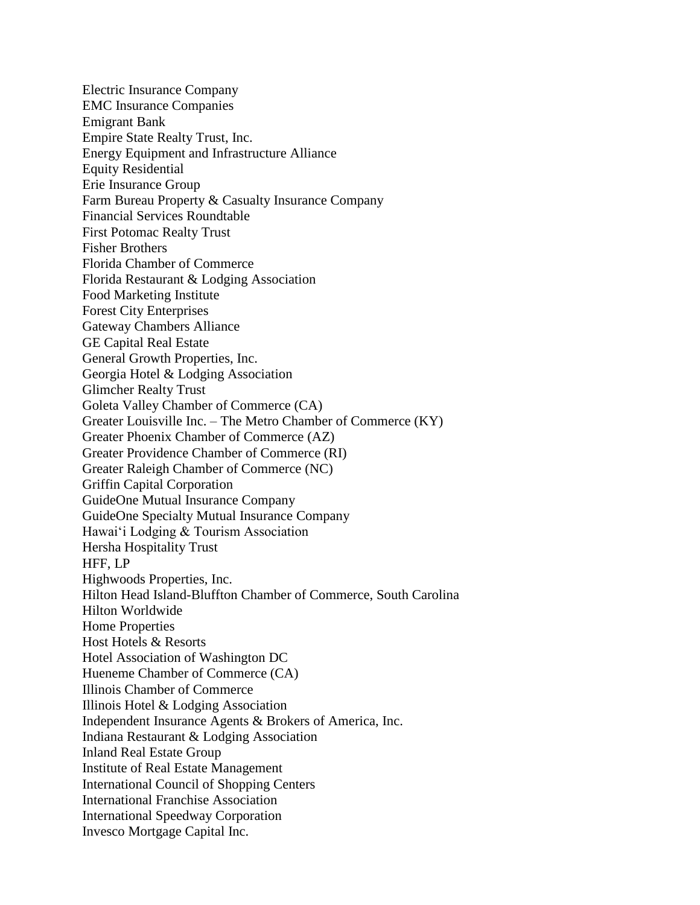Electric Insurance Company EMC Insurance Companies Emigrant Bank Empire State Realty Trust, Inc. Energy Equipment and Infrastructure Alliance Equity Residential Erie Insurance Group Farm Bureau Property & Casualty Insurance Company Financial Services Roundtable First Potomac Realty Trust Fisher Brothers Florida Chamber of Commerce Florida Restaurant & Lodging Association Food Marketing Institute Forest City Enterprises Gateway Chambers Alliance GE Capital Real Estate General Growth Properties, Inc. Georgia Hotel & Lodging Association Glimcher Realty Trust Goleta Valley Chamber of Commerce (CA) Greater Louisville Inc. – The Metro Chamber of Commerce (KY) Greater Phoenix Chamber of Commerce (AZ) Greater Providence Chamber of Commerce (RI) Greater Raleigh Chamber of Commerce (NC) Griffin Capital Corporation GuideOne Mutual Insurance Company GuideOne Specialty Mutual Insurance Company Hawai'i Lodging & Tourism Association Hersha Hospitality Trust HFF, LP Highwoods Properties, Inc. Hilton Head Island-Bluffton Chamber of Commerce, South Carolina Hilton Worldwide Home Properties Host Hotels & Resorts Hotel Association of Washington DC Hueneme Chamber of Commerce (CA) Illinois Chamber of Commerce Illinois Hotel & Lodging Association Independent Insurance Agents & Brokers of America, Inc. Indiana Restaurant & Lodging Association Inland Real Estate Group Institute of Real Estate Management International Council of Shopping Centers International Franchise Association International Speedway Corporation Invesco Mortgage Capital Inc.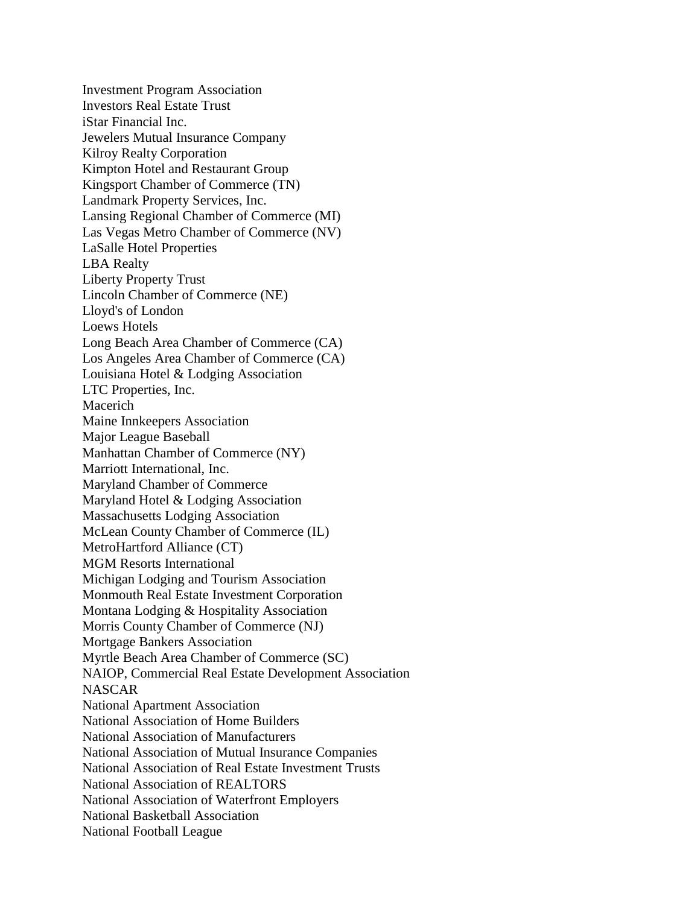Investment Program Association Investors Real Estate Trust iStar Financial Inc. Jewelers Mutual Insurance Company Kilroy Realty Corporation Kimpton Hotel and Restaurant Group Kingsport Chamber of Commerce (TN) Landmark Property Services, Inc. Lansing Regional Chamber of Commerce (MI) Las Vegas Metro Chamber of Commerce (NV) LaSalle Hotel Properties LBA Realty Liberty Property Trust Lincoln Chamber of Commerce (NE) Lloyd's of London Loews Hotels Long Beach Area Chamber of Commerce (CA) Los Angeles Area Chamber of Commerce (CA) Louisiana Hotel & Lodging Association LTC Properties, Inc. Macerich Maine Innkeepers Association Major League Baseball Manhattan Chamber of Commerce (NY) Marriott International, Inc. Maryland Chamber of Commerce Maryland Hotel & Lodging Association Massachusetts Lodging Association McLean County Chamber of Commerce (IL) MetroHartford Alliance (CT) MGM Resorts International Michigan Lodging and Tourism Association Monmouth Real Estate Investment Corporation Montana Lodging & Hospitality Association Morris County Chamber of Commerce (NJ) Mortgage Bankers Association Myrtle Beach Area Chamber of Commerce (SC) NAIOP, Commercial Real Estate Development Association **NASCAR** National Apartment Association National Association of Home Builders National Association of Manufacturers National Association of Mutual Insurance Companies National Association of Real Estate Investment Trusts National Association of REALTORS National Association of Waterfront Employers National Basketball Association National Football League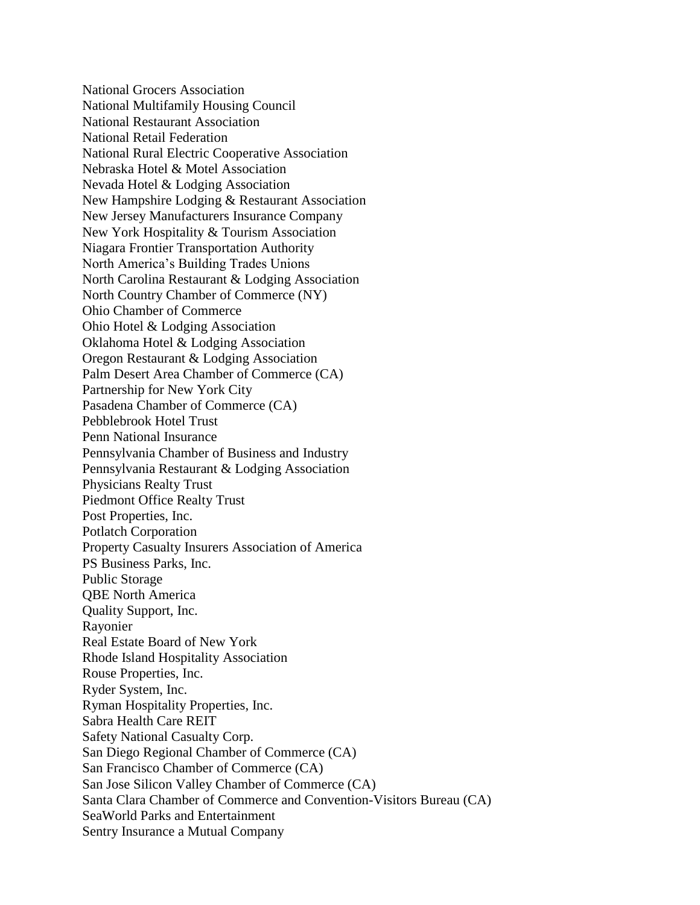National Grocers Association National Multifamily Housing Council National Restaurant Association National Retail Federation National Rural Electric Cooperative Association Nebraska Hotel & Motel Association Nevada Hotel & Lodging Association New Hampshire Lodging & Restaurant Association New Jersey Manufacturers Insurance Company New York Hospitality & Tourism Association Niagara Frontier Transportation Authority North America's Building Trades Unions North Carolina Restaurant & Lodging Association North Country Chamber of Commerce (NY) Ohio Chamber of Commerce Ohio Hotel & Lodging Association Oklahoma Hotel & Lodging Association Oregon Restaurant & Lodging Association Palm Desert Area Chamber of Commerce (CA) Partnership for New York City Pasadena Chamber of Commerce (CA) Pebblebrook Hotel Trust Penn National Insurance Pennsylvania Chamber of Business and Industry Pennsylvania Restaurant & Lodging Association Physicians Realty Trust Piedmont Office Realty Trust Post Properties, Inc. Potlatch Corporation Property Casualty Insurers Association of America PS Business Parks, Inc. Public Storage QBE North America Quality Support, Inc. Rayonier Real Estate Board of New York Rhode Island Hospitality Association Rouse Properties, Inc. Ryder System, Inc. Ryman Hospitality Properties, Inc. Sabra Health Care REIT Safety National Casualty Corp. San Diego Regional Chamber of Commerce (CA) San Francisco Chamber of Commerce (CA) San Jose Silicon Valley Chamber of Commerce (CA) Santa Clara Chamber of Commerce and Convention-Visitors Bureau (CA) SeaWorld Parks and Entertainment Sentry Insurance a Mutual Company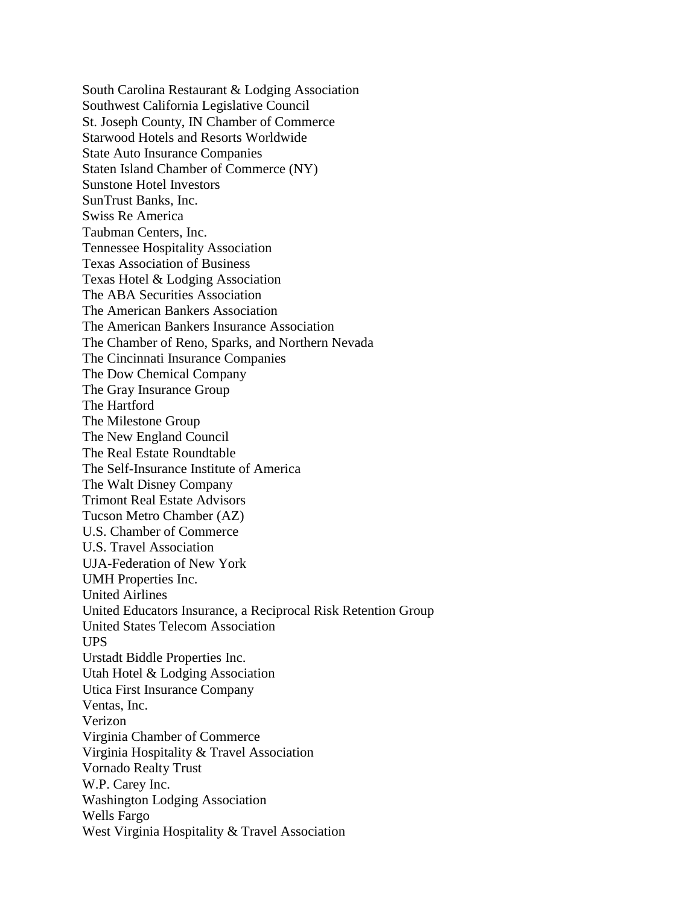South Carolina Restaurant & Lodging Association Southwest California Legislative Council St. Joseph County, IN Chamber of Commerce Starwood Hotels and Resorts Worldwide State Auto Insurance Companies Staten Island Chamber of Commerce (NY) Sunstone Hotel Investors SunTrust Banks, Inc. Swiss Re America Taubman Centers, Inc. Tennessee Hospitality Association Texas Association of Business Texas Hotel & Lodging Association The ABA Securities Association The American Bankers Association The American Bankers Insurance Association The Chamber of Reno, Sparks, and Northern Nevada The Cincinnati Insurance Companies The Dow Chemical Company The Gray Insurance Group The Hartford The Milestone Group The New England Council The Real Estate Roundtable The Self-Insurance Institute of America The Walt Disney Company Trimont Real Estate Advisors Tucson Metro Chamber (AZ) U.S. Chamber of Commerce U.S. Travel Association UJA-Federation of New York UMH Properties Inc. United Airlines United Educators Insurance, a Reciprocal Risk Retention Group United States Telecom Association UPS Urstadt Biddle Properties Inc. Utah Hotel & Lodging Association Utica First Insurance Company Ventas, Inc. Verizon Virginia Chamber of Commerce Virginia Hospitality & Travel Association Vornado Realty Trust W.P. Carey Inc. Washington Lodging Association Wells Fargo West Virginia Hospitality & Travel Association